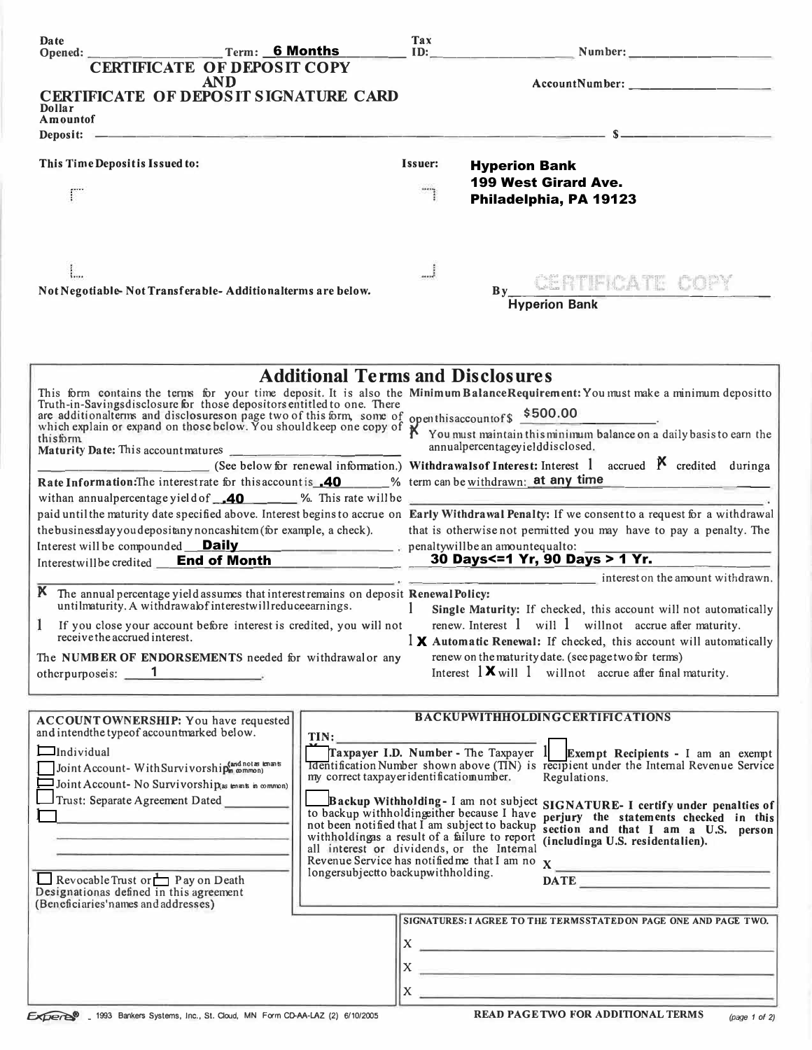| Date<br>Opened:                                                                                       | Term: 6 Months                                                                                |                                                                                             | Tax<br>ID:                                                              |                                                                                                                                                                                                                                       |  |
|-------------------------------------------------------------------------------------------------------|-----------------------------------------------------------------------------------------------|---------------------------------------------------------------------------------------------|-------------------------------------------------------------------------|---------------------------------------------------------------------------------------------------------------------------------------------------------------------------------------------------------------------------------------|--|
|                                                                                                       | <b>CERTIFICATE OF DEPOSIT COPY</b>                                                            |                                                                                             |                                                                         |                                                                                                                                                                                                                                       |  |
|                                                                                                       | <b>AND</b><br><b>CERTIFICATE OF DEPOSIT SIGNATURE CARD</b>                                    |                                                                                             |                                                                         |                                                                                                                                                                                                                                       |  |
| Dollar<br>Amountof                                                                                    |                                                                                               |                                                                                             |                                                                         |                                                                                                                                                                                                                                       |  |
| Deposit: -                                                                                            |                                                                                               |                                                                                             |                                                                         |                                                                                                                                                                                                                                       |  |
|                                                                                                       |                                                                                               |                                                                                             |                                                                         |                                                                                                                                                                                                                                       |  |
| This Time Depositis Issued to:                                                                        |                                                                                               |                                                                                             | Issuer:                                                                 | <b>Hyperion Bank</b>                                                                                                                                                                                                                  |  |
|                                                                                                       |                                                                                               |                                                                                             |                                                                         | 199 West Girard Ave.                                                                                                                                                                                                                  |  |
|                                                                                                       |                                                                                               |                                                                                             |                                                                         | Philadelphia, PA 19123                                                                                                                                                                                                                |  |
|                                                                                                       |                                                                                               |                                                                                             | J                                                                       |                                                                                                                                                                                                                                       |  |
|                                                                                                       |                                                                                               |                                                                                             |                                                                         | By CENTIFICATE COPY                                                                                                                                                                                                                   |  |
|                                                                                                       | Not Negotiable-Not Transferable-Additionalterms are below.                                    |                                                                                             |                                                                         | <b>Hyperion Bank</b>                                                                                                                                                                                                                  |  |
|                                                                                                       |                                                                                               | <b>Additional Terms and Disclosures</b>                                                     |                                                                         |                                                                                                                                                                                                                                       |  |
|                                                                                                       |                                                                                               |                                                                                             |                                                                         | This form contains the terms for your time deposit. It is also the Minimum BalanceRequirement: You must make a minimum depositto Truth-in-Savings disclosure for those depositors entitled to one. There                              |  |
|                                                                                                       |                                                                                               |                                                                                             |                                                                         | and disclosures on page two of this form, some of openthis account of \$500.00<br>which explain or expand on those below. You shouldkeep one copy of X You must maintain this minimum balance on a daily basis to earn the<br>this fo |  |
| thisform                                                                                              | Maturity Date: This account matures                                                           |                                                                                             |                                                                         | annualpercentageyielddisclosed.                                                                                                                                                                                                       |  |
|                                                                                                       |                                                                                               |                                                                                             |                                                                         | (See below for renewal information.) Withdrawals of Interest: Interest 1 accrued $\boldsymbol{\beta}$ credited during a                                                                                                               |  |
| Rate Information: The interestrate for this account is <b>40</b> % term can be withdrawn: at any time |                                                                                               |                                                                                             | with an annual percentage yield of $\overline{40}$ %. This rate will be |                                                                                                                                                                                                                                       |  |
|                                                                                                       |                                                                                               |                                                                                             |                                                                         | paid until the maturity date specified above. Interest begins to accrue on Early Withdrawal Penalty: If we consent to a request for a withdrawal                                                                                      |  |
|                                                                                                       | the business day you depositany noncashitem (for example, a check).                           |                                                                                             |                                                                         | that is otherwise not permitted you may have to pay a penalty. The                                                                                                                                                                    |  |
|                                                                                                       |                                                                                               |                                                                                             |                                                                         | Interest will be compounded <u>Daily</u><br>Interest will be compounded <u>Daily</u><br>Interestwill be credited <b>End of Month</b> 30 Days<=1 Yr, 90 Days > 1 Yr.                                                                   |  |
|                                                                                                       |                                                                                               |                                                                                             |                                                                         |                                                                                                                                                                                                                                       |  |
|                                                                                                       | K The annual percentage yield assumes that interest remains on deposit Renewal Policy:        |                                                                                             |                                                                         | interest on the amount withdrawn.                                                                                                                                                                                                     |  |
|                                                                                                       | untilmaturity. A withdrawalof interestwill reduceearnings.                                    |                                                                                             |                                                                         | Single Maturity: If checked, this account will not automatically                                                                                                                                                                      |  |
|                                                                                                       | If you close your account before interest is credited, you will not                           |                                                                                             |                                                                         | renew. Interest $1$ will $1$ will not accrue after maturity.                                                                                                                                                                          |  |
| receive the accrued interest.                                                                         |                                                                                               |                                                                                             |                                                                         | $\mathbf{1} \times \mathbf{A}$ automatic Renewal: If checked, this account will automatically                                                                                                                                         |  |
|                                                                                                       | The NUMBER OF ENDORSEMENTS needed for withdrawalor any                                        |                                                                                             |                                                                         | renew on the maturity date. (see page two for terms)<br>Interest $\mathbf{1} \mathbf{X}$ will $\mathbf{1}$ will not accrue after final maturity.                                                                                      |  |
| otherpurposeis: 1                                                                                     |                                                                                               |                                                                                             |                                                                         |                                                                                                                                                                                                                                       |  |
| and intendthe typeof accountmarked below.                                                             | ACCOUNTOWNERSHIP: You have requested                                                          | TIN:                                                                                        |                                                                         | <b>BACKUPWITHHOLDINGCERTIFICATIONS</b>                                                                                                                                                                                                |  |
| $\Box$ Individual                                                                                     |                                                                                               |                                                                                             |                                                                         | Traxpayer I.D. Number - The Taxpayer 1 Exempt Recipients - I am an exempt                                                                                                                                                             |  |
| Joint Account-With Survivorship(and not as knans                                                      |                                                                                               | my correct taxpayeridentificatiomumber.                                                     |                                                                         | <b>Identification Number shown above (TIN)</b> is recipient under the Internal Revenue Service<br>Regulations.                                                                                                                        |  |
|                                                                                                       | $\Box$ Joint Account- No Survivorship(as enants in common)                                    |                                                                                             |                                                                         |                                                                                                                                                                                                                                       |  |
| Trust: Separate Agreement Dated                                                                       |                                                                                               | to backup withholding ther because I have                                                   |                                                                         | Backup Withholding-I am not subject SIGNATURE-I certify under penalties of                                                                                                                                                            |  |
|                                                                                                       |                                                                                               | not been notified that I am subject to backup                                               |                                                                         | perjury the statements checked in this<br>section and that I am a U.S. person                                                                                                                                                         |  |
|                                                                                                       |                                                                                               | withholdingas a result of a failure to report<br>all interest or dividends, or the Internal |                                                                         | (includinga U.S. residentalien).                                                                                                                                                                                                      |  |
|                                                                                                       |                                                                                               | longersubjectto backupwithholding.                                                          |                                                                         |                                                                                                                                                                                                                                       |  |
| Revocable Trust or $\Box$ P ay on Death<br>Designationas defined in this agreement                    |                                                                                               |                                                                                             |                                                                         | DATE <b>DESCRIPTION</b>                                                                                                                                                                                                               |  |
| (Beneficiaries' names and addresses)                                                                  |                                                                                               |                                                                                             |                                                                         | SIGNATURES: I AGREE TO THE TERMSSTATED ON PAGE ONE AND PAGE TWO.                                                                                                                                                                      |  |
|                                                                                                       |                                                                                               |                                                                                             |                                                                         | $\mathbf{x}$ $\overline{\phantom{a}}$                                                                                                                                                                                                 |  |
|                                                                                                       |                                                                                               |                                                                                             |                                                                         |                                                                                                                                                                                                                                       |  |
|                                                                                                       |                                                                                               |                                                                                             |                                                                         |                                                                                                                                                                                                                                       |  |
|                                                                                                       |                                                                                               |                                                                                             |                                                                         |                                                                                                                                                                                                                                       |  |
|                                                                                                       | Experts <sup>®</sup> _ 1993 Bankers Systems, Inc., St. Cloud, MN Form CD-AA-LAZ (2) 6/10/2005 |                                                                                             |                                                                         | <b>READ PAGE TWO FOR ADDITIONAL TERMS</b><br>(page 1 of 2)                                                                                                                                                                            |  |